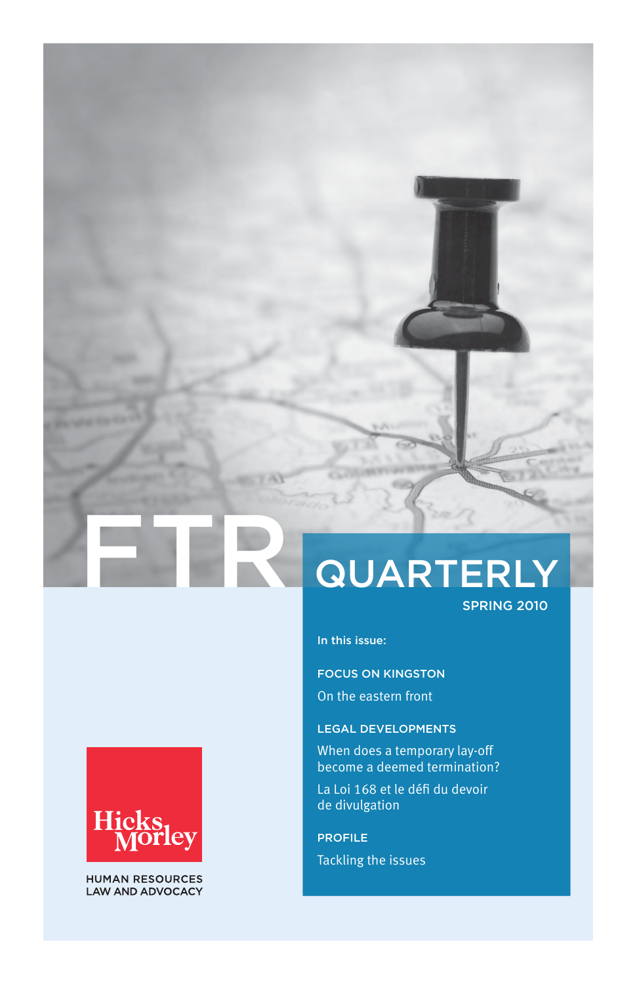# **QUARTERLY**

SPRING 2010

In this issue:

FOCUS ON KINGSTON On the eastern front

# LEGAL DEVELOPMENTS

When does a temporary lay-off become a deemed termination?

La Loi 168 et le défi du devoir de divulgation

PROFILE Tackling the issues



**HUMAN RESOURCES LAW AND ADVOCACY**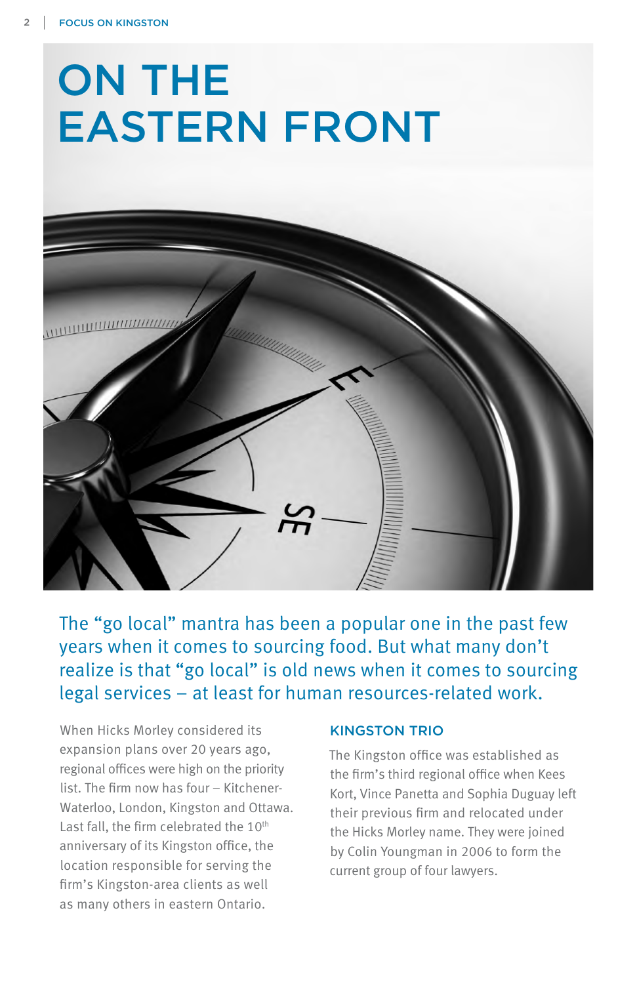

The "go local" mantra has been a popular one in the past few years when it comes to sourcing food. But what many don't realize is that "go local" is old news when it comes to sourcing legal services – at least for human resources-related work.

When Hicks Morley considered its expansion plans over 20 years ago, regional offices were high on the priority list. The firm now has four – Kitchener-Waterloo, London, Kingston and Ottawa. Last fall, the firm celebrated the 10<sup>th</sup> anniversary of its Kingston office, the location responsible for serving the firm's Kingston-area clients as well as many others in eastern Ontario.

# KINGSTON TRIO

The Kingston office was established as the firm's third regional office when Kees Kort, Vince Panetta and Sophia Duguay left their previous firm and relocated under the Hicks Morley name. They were joined by Colin Youngman in 2006 to form the current group of four lawyers.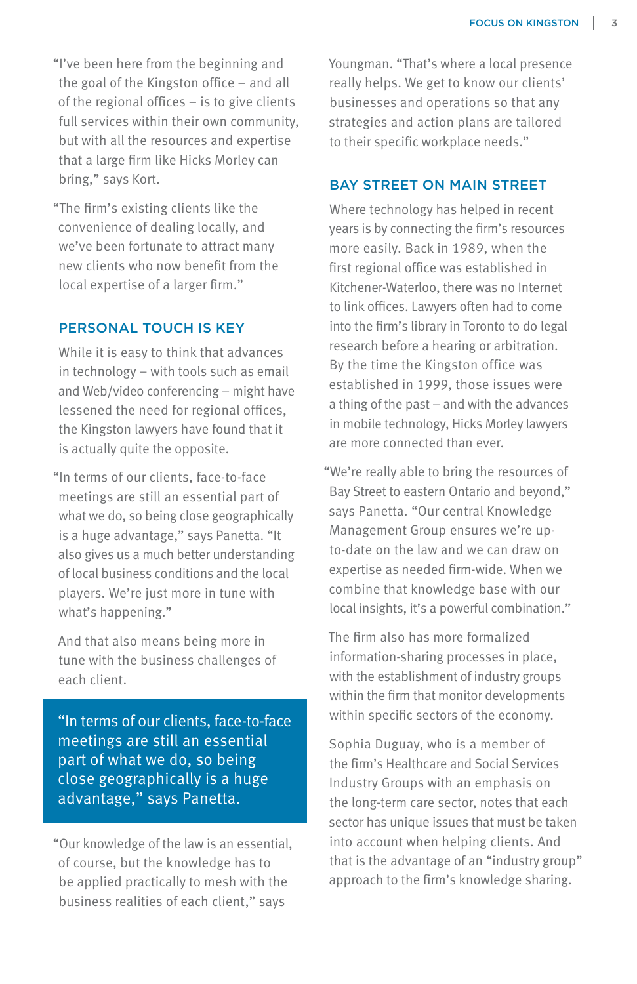"I've been here from the beginning and the goal of the Kingston office – and all of the regional offices – is to give clients full services within their own community, but with all the resources and expertise that a large firm like Hicks Morley can bring," says Kort.

"The firm's existing clients like the convenience of dealing locally, and we've been fortunate to attract many new clients who now benefit from the local expertise of a larger firm."

## PERSONAL TOUCH IS KEY

While it is easy to think that advances in technology – with tools such as email and Web/video conferencing – might have lessened the need for regional offices, the Kingston lawyers have found that it is actually quite the opposite.

"In terms of our clients, face-to-face meetings are still an essential part of what we do, so being close geographically is a huge advantage," says Panetta. "It also gives us a much better understanding of local business conditions and the local players. We're just more in tune with what's happening."

And that also means being more in tune with the business challenges of each client.

"In terms of our clients, face-to-face meetings are still an essential part of what we do, so being close geographically is a huge advantage," says Panetta.

"Our knowledge of the law is an essential, of course, but the knowledge has to be applied practically to mesh with the business realities of each client," says

Youngman. "That's where a local presence really helps. We get to know our clients' businesses and operations so that any strategies and action plans are tailored to their specific workplace needs."

#### BAY STREET ON MAIN STREET

Where technology has helped in recent years is by connecting the firm's resources more easily. Back in 1989, when the first regional office was established in Kitchener-Waterloo, there was no Internet to link offices. Lawyers often had to come into the firm's library in Toronto to do legal research before a hearing or arbitration. By the time the Kingston office was established in 1999, those issues were a thing of the past – and with the advances in mobile technology, Hicks Morley lawyers are more connected than ever.

"We're really able to bring the resources of Bay Street to eastern Ontario and beyond," says Panetta. "Our central Knowledge Management Group ensures we're upto-date on the law and we can draw on expertise as needed firm-wide. When we combine that knowledge base with our local insights, it's a powerful combination."

The firm also has more formalized information-sharing processes in place, with the establishment of industry groups within the firm that monitor developments within specific sectors of the economy.

Sophia Duguay, who is a member of the firm's Healthcare and Social Services Industry Groups with an emphasis on the long-term care sector, notes that each sector has unique issues that must be taken into account when helping clients. And that is the advantage of an "industry group" approach to the firm's knowledge sharing.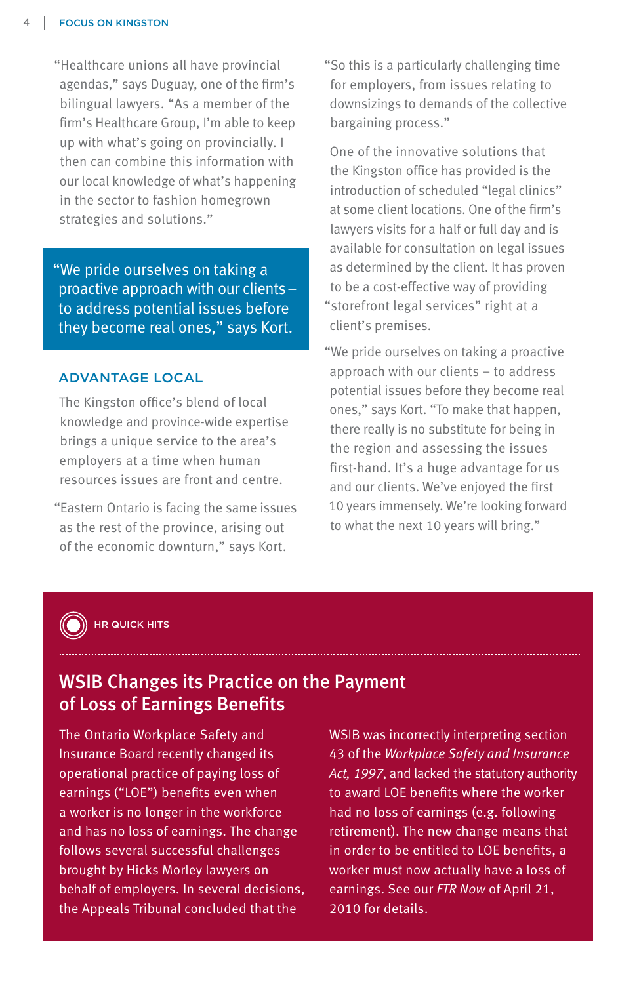"Healthcare unions all have provincial agendas," says Duguay, one of the firm's bilingual lawyers. "As a member of the firm's Healthcare Group, I'm able to keep up with what's going on provincially. I then can combine this information with our local knowledge of what's happening in the sector to fashion homegrown strategies and solutions."

"We pride ourselves on taking a proactive approach with our clients – to address potential issues before they become real ones," says Kort.

#### ADVANTAGE LOCAL

The Kingston office's blend of local knowledge and province-wide expertise brings a unique service to the area's employers at a time when human resources issues are front and centre.

"Eastern Ontario is facing the same issues as the rest of the province, arising out of the economic downturn," says Kort.

"So this is a particularly challenging time for employers, from issues relating to downsizings to demands of the collective bargaining process."

One of the innovative solutions that the Kingston office has provided is the introduction of scheduled "legal clinics" at some client locations. One of the firm's lawyers visits for a half or full day and is available for consultation on legal issues as determined by the client. It has proven to be a cost-effective way of providing "storefront legal services" right at a client's premises.

"We pride ourselves on taking a proactive approach with our clients – to address potential issues before they become real ones," says Kort. "To make that happen, there really is no substitute for being in the region and assessing the issues first-hand. It's a huge advantage for us and our clients. We've enjoyed the first 10 years immensely. We're looking forward to what the next 10 years will bring."



#### HR QUICK HITS

# WSIB Changes its Practice on the Payment of Loss of Earnings Benefits

The Ontario Workplace Safety and Insurance Board recently changed its operational practice of paying loss of earnings ("LOE") benefits even when a worker is no longer in the workforce and has no loss of earnings. The change follows several successful challenges brought by Hicks Morley lawyers on behalf of employers. In several decisions, the Appeals Tribunal concluded that the

WSIB was incorrectly interpreting section 43 of the *Workplace Safety and Insurance Act, 1997*, and lacked the statutory authority to award LOE benefits where the worker had no loss of earnings (e.g. following retirement). The new change means that in order to be entitled to LOE benefits, a worker must now actually have a loss of earnings. See our *FTR Now* of April 21, 2010 for details.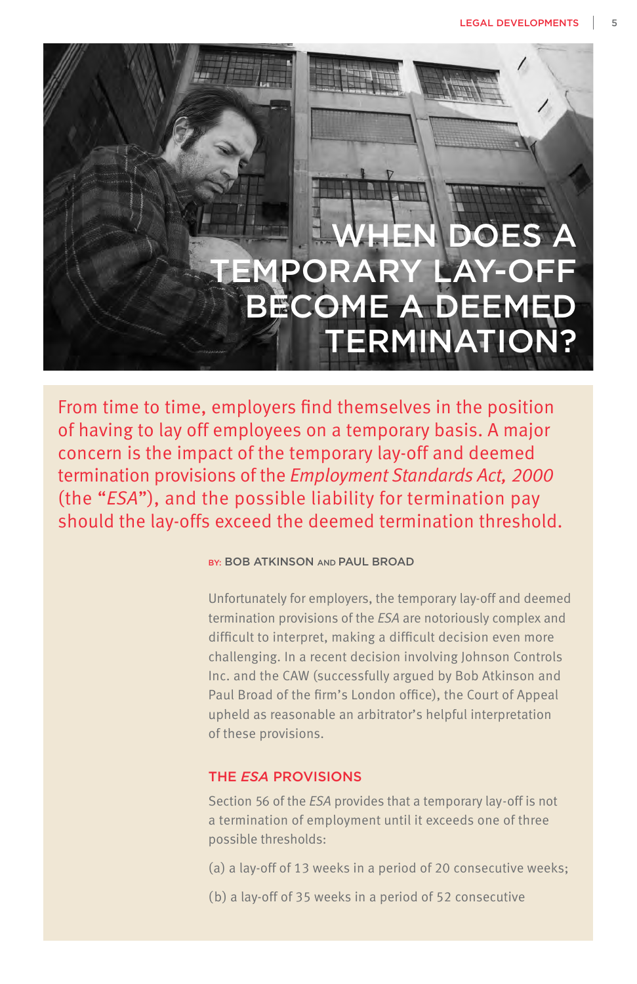**HEN DOES A** EMPORARY LAY-OFF BECOME A DEEMED TERMINATION?

From time to time, employers find themselves in the position of having to lay off employees on a temporary basis. A major concern is the impact of the temporary lay-off and deemed termination provisions of the *Employment Standards Act, 2000* (the "*ESA*"), and the possible liability for termination pay should the lay-offs exceed the deemed termination threshold.

#### BY: BOB ATKINSON AND PAUL BROAD

Unfortunately for employers, the temporary lay-off and deemed termination provisions of the *ESA* are notoriously complex and difficult to interpret, making a difficult decision even more challenging. In a recent decision involving Johnson Controls Inc. and the CAW (successfully argued by Bob Atkinson and Paul Broad of the firm's London office), the Court of Appeal upheld as reasonable an arbitrator's helpful interpretation of these provisions.

# THE *ESA* PROVISIONS

Section 56 of the *ESA* provides that a temporary lay-off is not a termination of employment until it exceeds one of three possible thresholds:

- (a) a lay-off of 13 weeks in a period of 20 consecutive weeks;
- (b) a lay-off of 35 weeks in a period of 52 consecutive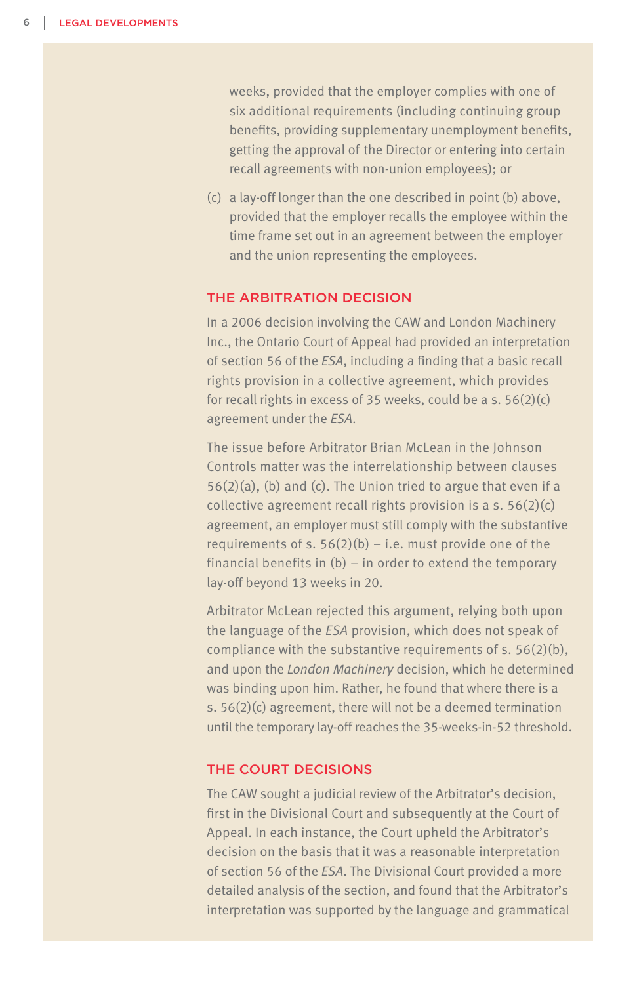weeks, provided that the employer complies with one of six additional requirements (including continuing group benefits, providing supplementary unemployment benefits, getting the approval of the Director or entering into certain recall agreements with non-union employees); or

(c) a lay-off longer than the one described in point (b) above, provided that the employer recalls the employee within the time frame set out in an agreement between the employer and the union representing the employees.

# THE ARBITRATION DECISION

In a 2006 decision involving the CAW and London Machinery Inc., the Ontario Court of Appeal had provided an interpretation of section 56 of the *ESA*, including a finding that a basic recall rights provision in a collective agreement, which provides for recall rights in excess of 35 weeks, could be a s. 56(2)(c) agreement under the *ESA*.

The issue before Arbitrator Brian McLean in the Johnson Controls matter was the interrelationship between clauses 56(2)(a), (b) and (c). The Union tried to argue that even if a collective agreement recall rights provision is a s.  $56(2)(c)$ agreement, an employer must still comply with the substantive requirements of s.  $56(2)(b) - i.e.$  must provide one of the financial benefits in (b) – in order to extend the temporary lay-off beyond 13 weeks in 20.

Arbitrator McLean rejected this argument, relying both upon the language of the *ESA* provision, which does not speak of compliance with the substantive requirements of s. 56(2)(b), and upon the *London Machinery* decision, which he determined was binding upon him. Rather, he found that where there is a s. 56(2)(c) agreement, there will not be a deemed termination until the temporary lay-off reaches the 35-weeks-in-52 threshold.

### THE COURT DECISIONS

The CAW sought a judicial review of the Arbitrator's decision, first in the Divisional Court and subsequently at the Court of Appeal. In each instance, the Court upheld the Arbitrator's decision on the basis that it was a reasonable interpretation of section 56 of the *ESA*. The Divisional Court provided a more detailed analysis of the section, and found that the Arbitrator's interpretation was supported by the language and grammatical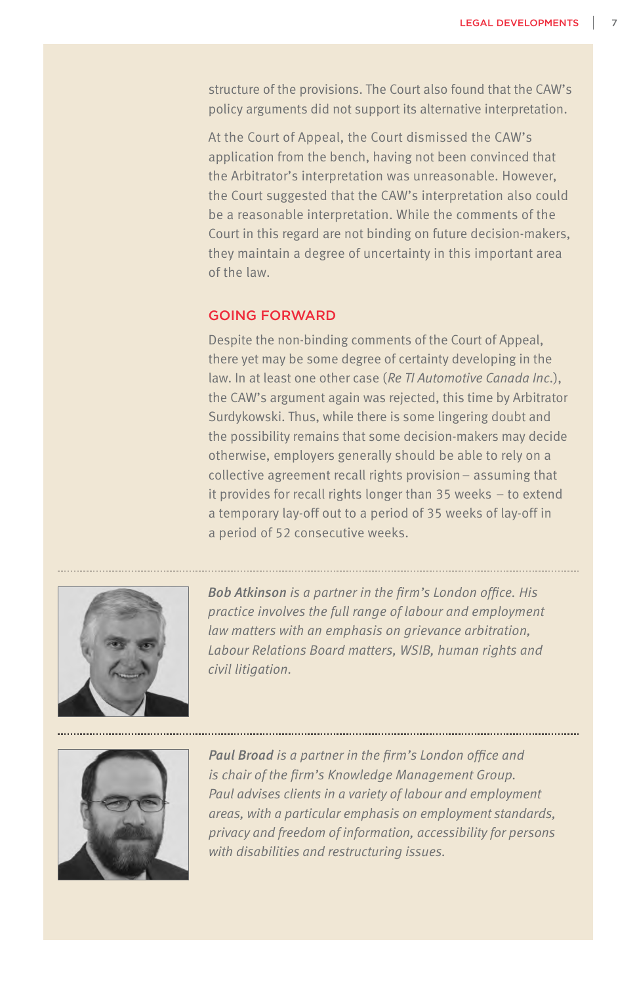structure of the provisions. The Court also found that the CAW's policy arguments did not support its alternative interpretation.

At the Court of Appeal, the Court dismissed the CAW's application from the bench, having not been convinced that the Arbitrator's interpretation was unreasonable. However, the Court suggested that the CAW's interpretation also could be a reasonable interpretation. While the comments of the Court in this regard are not binding on future decision-makers, they maintain a degree of uncertainty in this important area of the law.

#### GOING FORWARD

Despite the non-binding comments of the Court of Appeal, there yet may be some degree of certainty developing in the law. In at least one other case (*Re TI Automotive Canada Inc*.), the CAW's argument again was rejected, this time by Arbitrator Surdykowski. Thus, while there is some lingering doubt and the possibility remains that some decision-makers may decide otherwise, employers generally should be able to rely on a collective agreement recall rights provision– assuming that it provides for recall rights longer than 35 weeks – to extend a temporary lay-off out to a period of 35 weeks of lay-off in a period of 52 consecutive weeks.



*Bob Atkinson is a partner in the firm's London office. His practice involves the full range of labour and employment law matters with an emphasis on grievance arbitration, Labour Relations Board matters, WSIB, human rights and civil litigation.* 



*Paul Broad is a partner in the firm's London office and is chair of the firm's Knowledge Management Group. Paul advises clients in a variety of labour and employment areas, with a particular emphasis on employment standards, privacy and freedom of information, accessibility for persons with disabilities and restructuring issues.*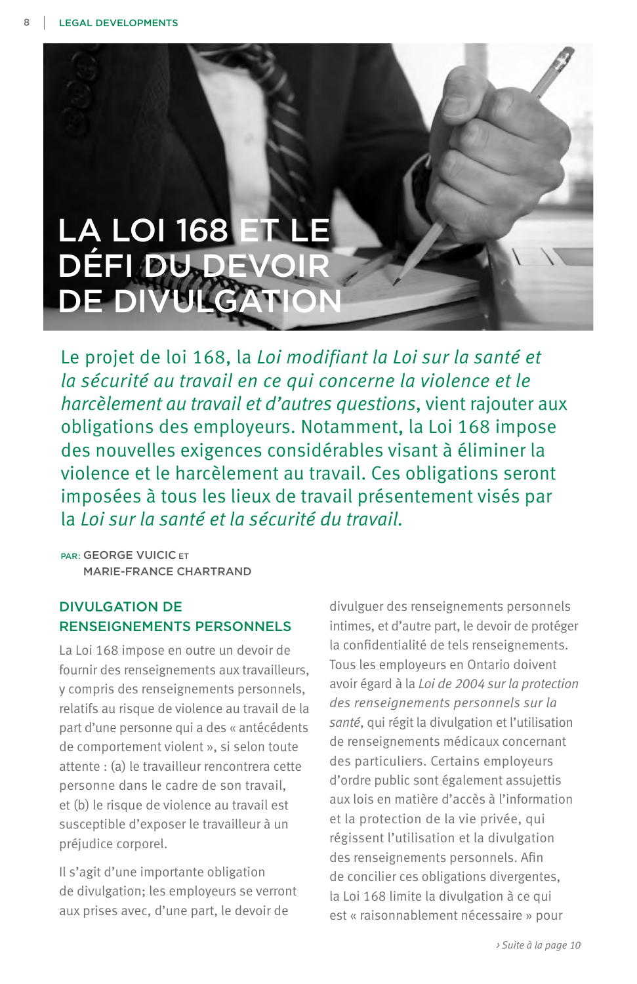

Le projet de loi 168, la *Loi modifiant la Loi sur la santé et la sécurité au travail en ce qui concerne la violence et le harcèlement au travail et d'autres questions*, vient rajouter aux obligations des employeurs. Notamment, la Loi 168 impose des nouvelles exigences considérables visant à éliminer la violence et le harcèlement au travail. Ces obligations seront imposées à tous les lieux de travail présentement visés par la *Loi sur la santé et la sécurité du travail.*

PAR: GEORGE VUICIC ET MARIE-FRANCE CHARTRAND

# DIVULGATION DE RENSEIGNEMENTS PERSONNELS

La Loi 168 impose en outre un devoir de fournir des renseignements aux travailleurs, y compris des renseignements personnels, relatifs au risque de violence au travail de la part d'une personne qui a des « antécédents de comportement violent », si selon toute attente : (a) le travailleur rencontrera cette personne dans le cadre de son travail, et (b) le risque de violence au travail est susceptible d'exposer le travailleur à un préjudice corporel.

Il s'agit d'une importante obligation de divulgation; les employeurs se verront aux prises avec, d'une part, le devoir de

divulguer des renseignements personnels intimes, et d'autre part, le devoir de protéger la confidentialité de tels renseignements. Tous les employeurs en Ontario doivent avoir égard à la *Loi de 2004 sur la protection des renseignements personnels sur la santé*, qui régit la divulgation et l'utilisation de renseignements médicaux concernant des particuliers. Certains employeurs d'ordre public sont également assujettis aux lois en matière d'accès à l'information et la protection de la vie privée, qui régissent l'utilisation et la divulgation des renseignements personnels. Afin de concilier ces obligations divergentes, la Loi 168 limite la divulgation à ce qui est « raisonnablement nécessaire » pour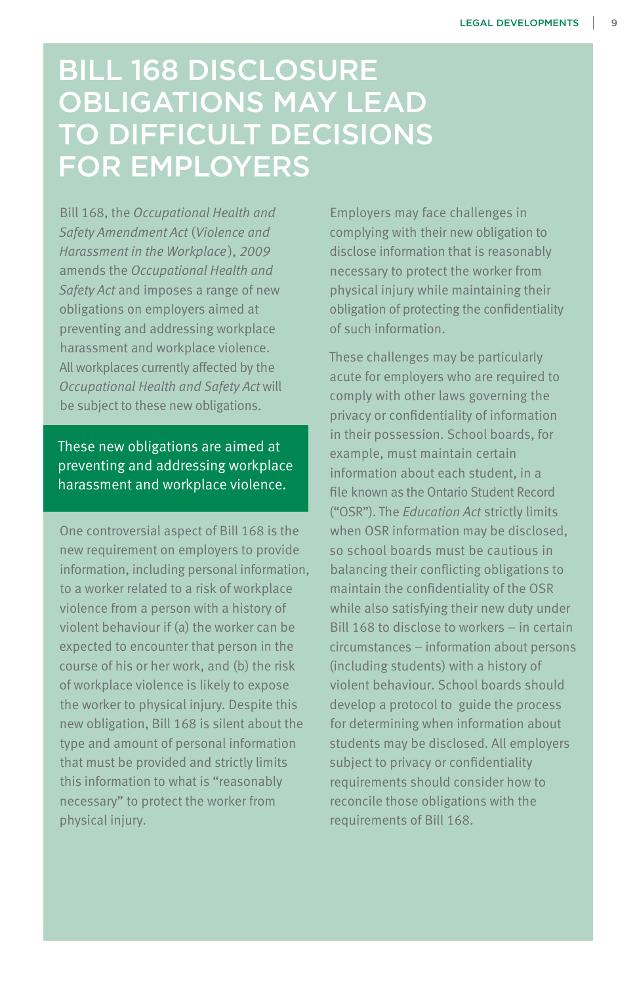# BILL 168 DISCLOSURE OBLIGATIONS MAY LEAD TO DIFFICULT DECISIONS FOR EMPLOYERS

Bill 168, the *Occupational Health and Safety Amendment Act* (*Violence and Harassment in the Workplace*), *2009*  amends the *Occupational Health and Safety Act* and imposes a range of new obligations on employers aimed at preventing and addressing workplace harassment and workplace violence. All workplaces currently affected by the *Occupational Health and Safety Act* will be subject to these new obligations.

These new obligations are aimed at preventing and addressing workplace harassment and workplace violence.

One controversial aspect of Bill 168 is the new requirement on employers to provide information, including personal information, to a worker related to a risk of workplace violence from a person with a history of violent behaviour if (a) the worker can be expected to encounter that person in the course of his or her work, and (b) the risk of workplace violence is likely to expose the worker to physical injury. Despite this new obligation, Bill 168 is silent about the type and amount of personal information that must be provided and strictly limits this information to what is "reasonably necessary" to protect the worker from physical injury.

Employers may face challenges in complying with their new obligation to disclose information that is reasonably necessary to protect the worker from physical injury while maintaining their obligation of protecting the confidentiality of such information.

These challenges may be particularly acute for employers who are required to comply with other laws governing the privacy or confidentiality of information in their possession. School boards, for example, must maintain certain information about each student, in a file known as the Ontario Student Record ("OSR"). The *Education Act* strictly limits when OSR information may be disclosed, so school boards must be cautious in balancing their conflicting obligations to maintain the confidentiality of the OSR while also satisfying their new duty under Bill 168 to disclose to workers – in certain circumstances – information about persons (including students) with a history of violent behaviour. School boards should develop a protocol to guide the process for determining when information about students may be disclosed. All employers subject to privacy or confidentiality requirements should consider how to reconcile those obligations with the requirements of Bill 168.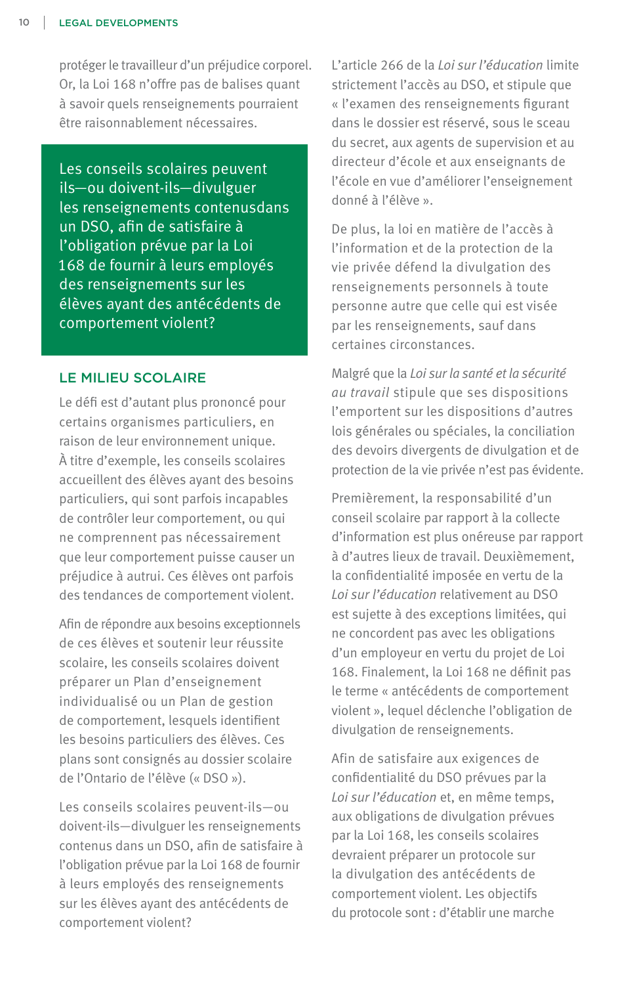protéger le travailleur d'un préjudice corporel. Or, la Loi 168 n'offre pas de balises quant à savoir quels renseignements pourraient être raisonnablement nécessaires.

Les conseils scolaires peuvent ils—ou doivent-ils—divulguer les renseignements contenusdans un DSO, afin de satisfaire à l'obligation prévue par la Loi 168 de fournir à leurs employés des renseignements sur les élèves ayant des antécédents de comportement violent?

#### LE MILIEU SCOLAIRE

Le défi est d'autant plus prononcé pour certains organismes particuliers, en raison de leur environnement unique. À titre d'exemple, les conseils scolaires accueillent des élèves ayant des besoins particuliers, qui sont parfois incapables de contrôler leur comportement, ou qui ne comprennent pas nécessairement que leur comportement puisse causer un préjudice à autrui. Ces élèves ont parfois des tendances de comportement violent.

Afin de répondre aux besoins exceptionnels de ces élèves et soutenir leur réussite scolaire, les conseils scolaires doivent préparer un Plan d'enseignement individualisé ou un Plan de gestion de comportement, lesquels identifient les besoins particuliers des élèves. Ces plans sont consignés au dossier scolaire de l'Ontario de l'élève (« DSO »).

Les conseils scolaires peuvent-ils—ou doivent-ils—divulguer les renseignements contenus dans un DSO, afin de satisfaire à l'obligation prévue par la Loi 168 de fournir à leurs employés des renseignements sur les élèves ayant des antécédents de comportement violent?

L'article 266 de la *Loi sur l'éducation* limite strictement l'accès au DSO, et stipule que « l'examen des renseignements figurant dans le dossier est réservé, sous le sceau du secret, aux agents de supervision et au directeur d'école et aux enseignants de l'école en vue d'améliorer l'enseignement donné à l'élève ».

De plus, la loi en matière de l'accès à l'information et de la protection de la vie privée défend la divulgation des renseignements personnels à toute personne autre que celle qui est visée par les renseignements, sauf dans certaines circonstances.

Malgré que la *Loi sur la santé et la sécurité au travail* stipule que ses dispositions l'emportent sur les dispositions d'autres lois générales ou spéciales, la conciliation des devoirs divergents de divulgation et de protection de la vie privée n'est pas évidente.

Premièrement, la responsabilité d'un conseil scolaire par rapport à la collecte d'information est plus onéreuse par rapport à d'autres lieux de travail. Deuxièmement, la confidentialité imposée en vertu de la *Loi sur l'éducation* relativement au DSO est sujette à des exceptions limitées, qui ne concordent pas avec les obligations d'un employeur en vertu du projet de Loi 168. Finalement, la Loi 168 ne définit pas le terme « antécédents de comportement violent », lequel déclenche l'obligation de divulgation de renseignements.

Afin de satisfaire aux exigences de confidentialité du DSO prévues par la *Loi sur l'éducation* et, en même temps, aux obligations de divulgation prévues par la Loi 168, les conseils scolaires devraient préparer un protocole sur la divulgation des antécédents de comportement violent. Les objectifs du protocole sont : d'établir une marche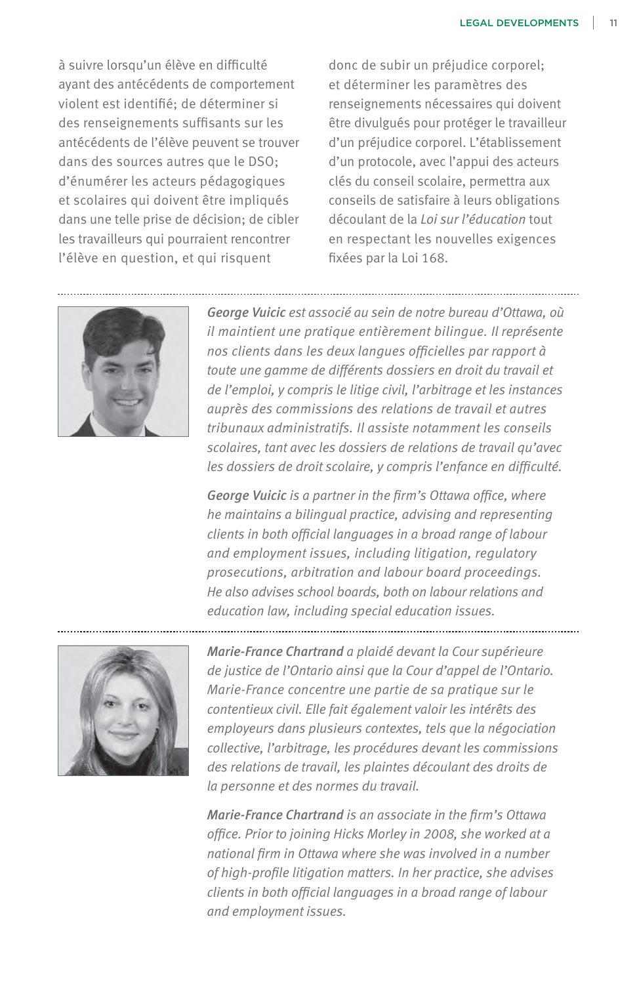à suivre lorsqu'un élève en difficulté ayant des antécédents de comportement violent est identifié; de déterminer si des renseignements suffisants sur les antécédents de l'élève peuvent se trouver dans des sources autres que le DSO; d'énumérer les acteurs pédagogiques et scolaires qui doivent être impliqués dans une telle prise de décision; de cibler les travailleurs qui pourraient rencontrer l'élève en question, et qui risquent

donc de subir un préjudice corporel; et déterminer les paramètres des renseignements nécessaires qui doivent être divulgués pour protéger le travailleur d'un préjudice corporel. L'établissement d'un protocole, avec l'appui des acteurs clés du conseil scolaire, permettra aux conseils de satisfaire à leurs obligations découlant de la *Loi sur l'éducation* tout en respectant les nouvelles exigences fixées par la Loi 168.



*George Vuicic est associé au sein de notre bureau d'Ottawa, où il maintient une pratique entièrement bilingue. Il représente nos clients dans les deux langues officielles par rapport à toute une gamme de différents dossiers en droit du travail et de l'emploi, y compris le litige civil, l'arbitrage et les instances auprès des commissions des relations de travail et autres tribunaux administratifs. Il assiste notamment les conseils scolaires, tant avec les dossiers de relations de travail qu'avec les dossiers de droit scolaire, y compris l'enfance en difficulté.*

*George Vuicic is a partner in the firm's Ottawa office, where he maintains a bilingual practice, advising and representing clients in both official languages in a broad range of labour and employment issues, including litigation, regulatory prosecutions, arbitration and labour board proceedings. He also advises school boards, both on labour relations and education law, including special education issues.*



*Marie-France Chartrand a plaidé devant la Cour supérieure de justice de l'Ontario ainsi que la Cour d'appel de l'Ontario. Marie-France concentre une partie de sa pratique sur le contentieux civil. Elle fait également valoir les intérêts des employeurs dans plusieurs contextes, tels que la négociation collective, l'arbitrage, les procédures devant les commissions des relations de travail, les plaintes découlant des droits de la personne et des normes du travail.*

*Marie-France Chartrand is an associate in the firm's Ottawa office. Prior to joining Hicks Morley in 2008, she worked at a national firm in Ottawa where she was involved in a number of high-profile litigation matters. In her practice, she advises clients in both official languages in a broad range of labour and employment issues.*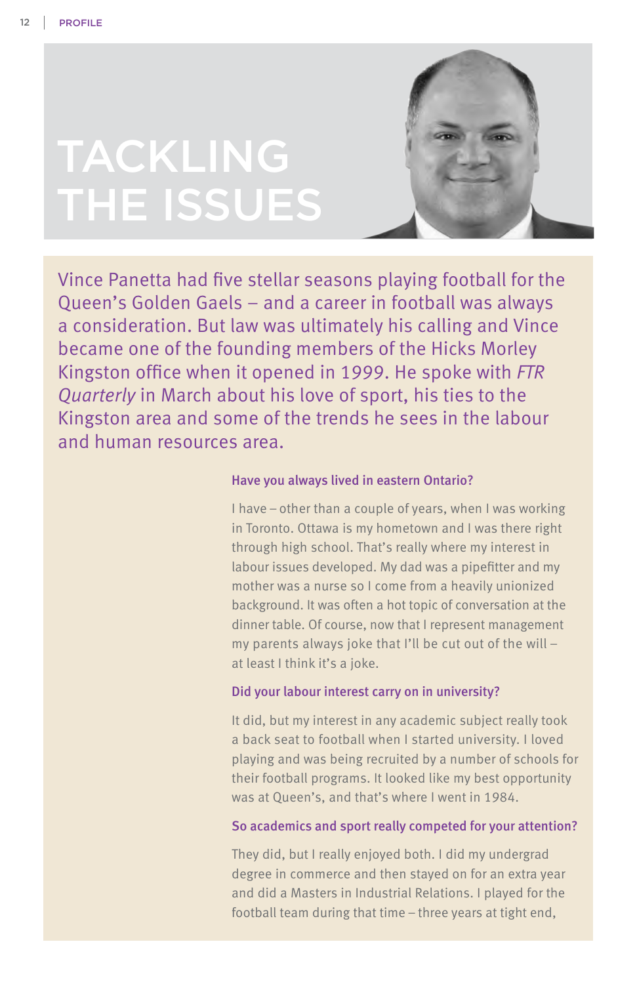# TACKLING THE ISSUES



Vince Panetta had five stellar seasons playing football for the Queen's Golden Gaels – and a career in football was always a consideration. But law was ultimately his calling and Vince became one of the founding members of the Hicks Morley Kingston office when it opened in 1999. He spoke with *FTR Quarterly* in March about his love of sport, his ties to the Kingston area and some of the trends he sees in the labour and human resources area.

#### Have you always lived in eastern Ontario?

I have – other than a couple of years, when I was working in Toronto. Ottawa is my hometown and I was there right through high school. That's really where my interest in labour issues developed. My dad was a pipefitter and my mother was a nurse so I come from a heavily unionized background. It was often a hot topic of conversation at the dinner table. Of course, now that I represent management my parents always joke that I'll be cut out of the will – at least I think it's a joke.

#### Did your labour interest carry on in university?

It did, but my interest in any academic subject really took a back seat to football when I started university. I loved playing and was being recruited by a number of schools for their football programs. It looked like my best opportunity was at Queen's, and that's where I went in 1984.

#### So academics and sport really competed for your attention?

They did, but I really enjoyed both. I did my undergrad degree in commerce and then stayed on for an extra year and did a Masters in Industrial Relations. I played for the football team during that time – three years at tight end,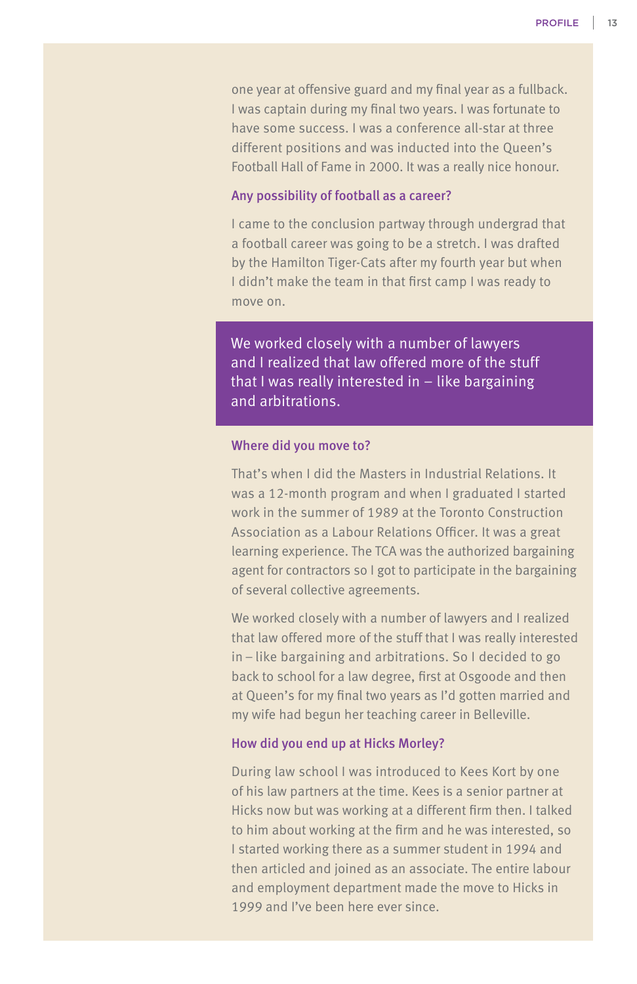one year at offensive guard and my final year as a fullback. I was captain during my final two years. I was fortunate to have some success. I was a conference all-star at three different positions and was inducted into the Queen's Football Hall of Fame in 2000. It was a really nice honour.

#### Any possibility of football as a career?

I came to the conclusion partway through undergrad that a football career was going to be a stretch. I was drafted by the Hamilton Tiger-Cats after my fourth year but when I didn't make the team in that first camp I was ready to move on.

We worked closely with a number of lawyers and I realized that law offered more of the stuff that I was really interested in – like bargaining and arbitrations.

#### Where did you move to?

That's when I did the Masters in Industrial Relations. It was a 12-month program and when I graduated I started work in the summer of 1989 at the Toronto Construction Association as a Labour Relations Officer. It was a great learning experience. The TCA was the authorized bargaining agent for contractors so I got to participate in the bargaining of several collective agreements.

We worked closely with a number of lawyers and I realized that law offered more of the stuff that I was really interested in – like bargaining and arbitrations. So I decided to go back to school for a law degree, first at Osgoode and then at Queen's for my final two years as I'd gotten married and my wife had begun her teaching career in Belleville.

#### How did you end up at Hicks Morley?

During law school I was introduced to Kees Kort by one of his law partners at the time. Kees is a senior partner at Hicks now but was working at a different firm then. I talked to him about working at the firm and he was interested, so I started working there as a summer student in 1994 and then articled and joined as an associate. The entire labour and employment department made the move to Hicks in 1999 and I've been here ever since.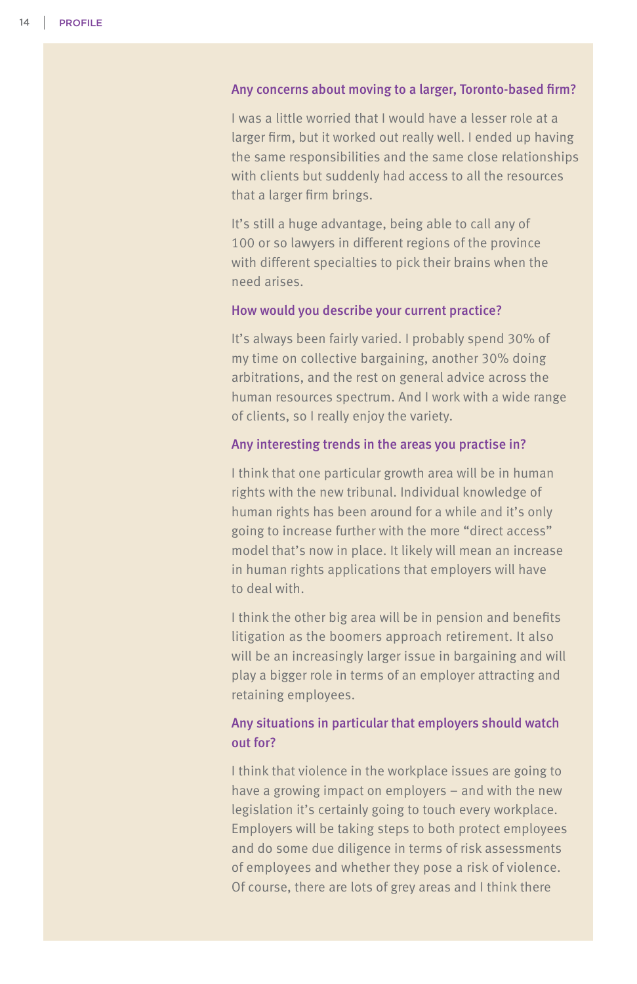#### Any concerns about moving to a larger, Toronto-based firm?

I was a little worried that I would have a lesser role at a larger firm, but it worked out really well. I ended up having the same responsibilities and the same close relationships with clients but suddenly had access to all the resources that a larger firm brings.

It's still a huge advantage, being able to call any of 100 or so lawyers in different regions of the province with different specialties to pick their brains when the need arises.

#### How would you describe your current practice?

It's always been fairly varied. I probably spend 30% of my time on collective bargaining, another 30% doing arbitrations, and the rest on general advice across the human resources spectrum. And I work with a wide range of clients, so I really enjoy the variety.

#### Any interesting trends in the areas you practise in?

I think that one particular growth area will be in human rights with the new tribunal. Individual knowledge of human rights has been around for a while and it's only going to increase further with the more "direct access" model that's now in place. It likely will mean an increase in human rights applications that employers will have to deal with.

I think the other big area will be in pension and benefits litigation as the boomers approach retirement. It also will be an increasingly larger issue in bargaining and will play a bigger role in terms of an employer attracting and retaining employees.

# Any situations in particular that employers should watch out for?

I think that violence in the workplace issues are going to have a growing impact on employers – and with the new legislation it's certainly going to touch every workplace. Employers will be taking steps to both protect employees and do some due diligence in terms of risk assessments of employees and whether they pose a risk of violence. Of course, there are lots of grey areas and I think there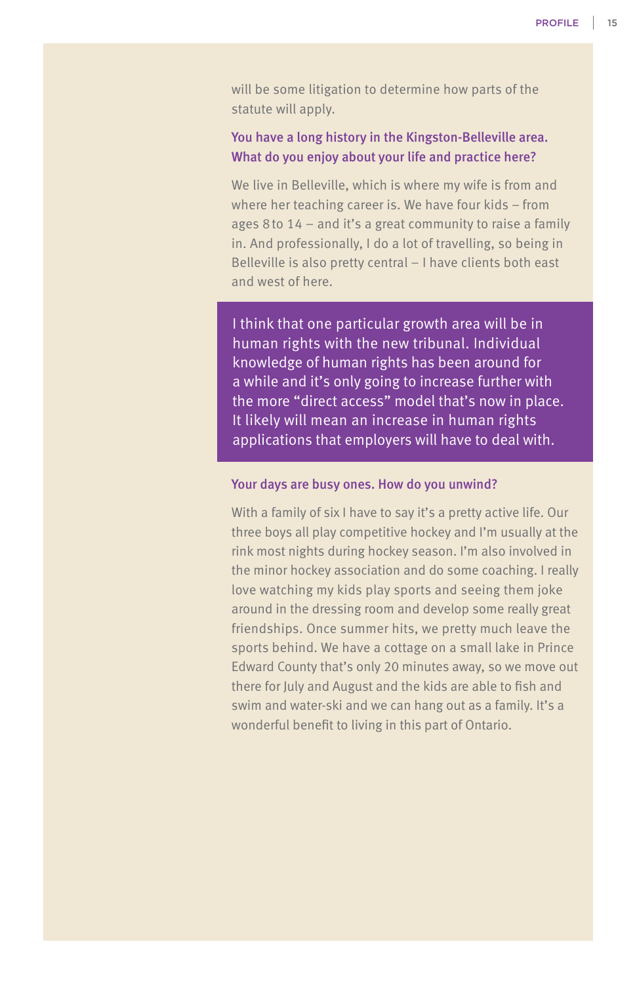will be some litigation to determine how parts of the statute will apply.

## You have a long history in the Kingston-Belleville area. What do you enjoy about your life and practice here?

We live in Belleville, which is where my wife is from and where her teaching career is. We have four kids – from ages 8 to 14 – and it's a great community to raise a family in. And professionally, I do a lot of travelling, so being in Belleville is also pretty central – I have clients both east and west of here.

I think that one particular growth area will be in human rights with the new tribunal. Individual knowledge of human rights has been around for a while and it's only going to increase further with the more "direct access" model that's now in place. It likely will mean an increase in human rights applications that employers will have to deal with.

#### Your days are busy ones. How do you unwind?

With a family of six I have to say it's a pretty active life. Our three boys all play competitive hockey and I'm usually at the rink most nights during hockey season. I'm also involved in the minor hockey association and do some coaching. I really love watching my kids play sports and seeing them joke around in the dressing room and develop some really great friendships. Once summer hits, we pretty much leave the sports behind. We have a cottage on a small lake in Prince Edward County that's only 20 minutes away, so we move out there for July and August and the kids are able to fish and swim and water-ski and we can hang out as a family. It's a wonderful benefit to living in this part of Ontario.